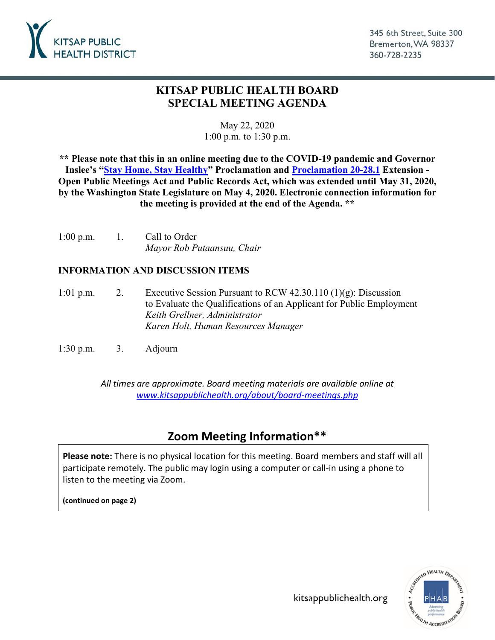

345 6th Street, Suite 300 Bremerton, WA 98337 360-728-2235

## **KITSAP PUBLIC HEALTH BOARD SPECIAL MEETING AGENDA**

## May 22, 2020 1:00 p.m. to 1:30 p.m.

**\*\* Please note that this in an online meeting due to the COVID-19 pandemic and Governor Inslee's "Stay Home, [Stay Healthy"](https://www.governor.wa.gov/sites/default/files/proclamations/20-25%20Coronovirus%20Stay%20Safe-Stay%20Healthy%20%28tmp%29%20%28002%29.pdf) Proclamation and [Proclamation 20-28.1](https://www.governor.wa.gov/sites/default/files/proclamations/20-28.1%20-%20COVID-19%20Open%20Govt%20Waiver%20Extension%20%28tmp%29.pdf) Extension - Open Public Meetings Act and Public Records Act, which was extended until May 31, 2020, by the Washington State Legislature on May 4, 2020. Electronic connection information for the meeting is provided at the end of the Agenda. \*\***

1:00 p.m. 1. Call to Order *Mayor Rob Putaansuu, Chair*

## **INFORMATION AND DISCUSSION ITEMS**

- 1:01 p.m. 2. Executive Session Pursuant to RCW 42.30.110  $(1)(g)$ : Discussion to Evaluate the Qualifications of an Applicant for Public Employment *Keith Grellner, Administrator Karen Holt, Human Resources Manager*
- 1:30 p.m. 3. Adjourn

*All times are approximate. Board meeting materials are available online at [www.kitsappublichealth.org/about/board-meetings.php](http://www.kitsappublichealth.org/about/board-meetings.php)*

## **Zoom Meeting Information\*\***

**Please note:** There is no physical location for this meeting. Board members and staff will all participate remotely. The public may login using a computer or call-in using a phone to listen to the meeting via Zoom.

**(continued on page 2)**